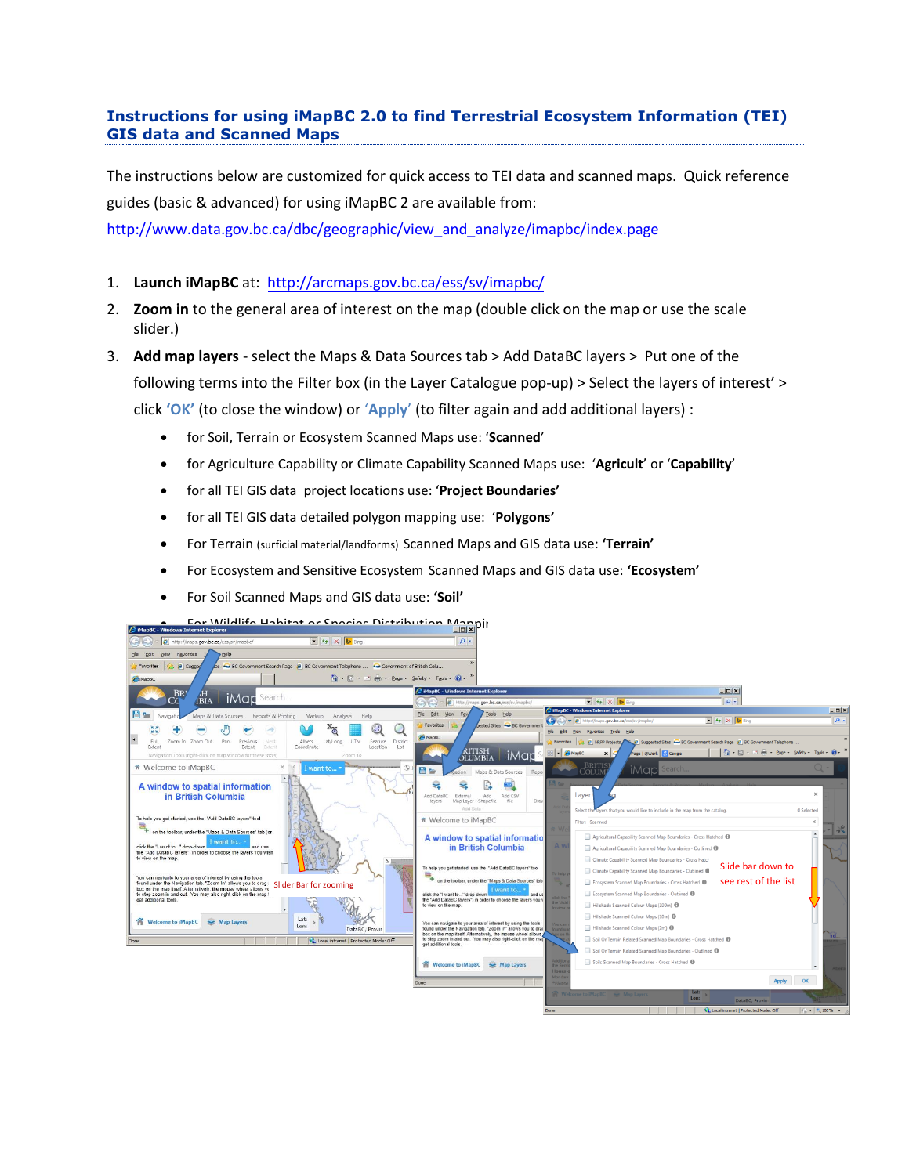## **Instructions for using iMapBC 2.0 to find Terrestrial Ecosystem Information (TEI) GIS data and Scanned Maps**

The instructions below are customized for quick access to TEI data and scanned maps. Quick reference guides (basic & advanced) for using iMapBC 2 are available from:

[http://www.data.gov.bc.ca/dbc/geographic/view\\_and\\_analyze/imapbc/index.page](http://www.data.gov.bc.ca/dbc/geographic/view_and_analyze/imapbc/index.page) 

- 1. **Launch iMapBC** at: http://arc[maps.gov.bc.ca/ess/sv/imapb](http://maps.gov.bc.ca/ess/sv/imapbc/)c/
- 2. **Zoom in** to the general area of interest on the map (double click on the map or use the scale slider.)
- 3. **Add map layers** select the Maps & Data Sources tab > Add DataBC layers > Put one of the following terms into the Filter box (in the Layer Catalogue pop-up) > Select the layers of interest' > click **'OK'** (to close the window) or '**Apply**' (to filter again and add additional layers) :
	- for Soil, Terrain or Ecosystem Scanned Maps use: '**Scanned**'
	- for Agriculture Capability or Climate Capability Scanned Maps use: '**Agricult**' or '**Capability**'
	- for all TEI GIS data project locations use: '**Project Boundaries'**
	- for all TEI GIS data detailed polygon mapping use: '**Polygons'**
	- For Terrain (surficial material/landforms) Scanned Maps and GIS data use: **'Terrain'**
	- For Ecosystem and Sensitive Ecosystem Scanned Maps and GIS data use: **'Ecosystem'**
	- For Soil Scanned Maps and GIS data use: **'Soil'**